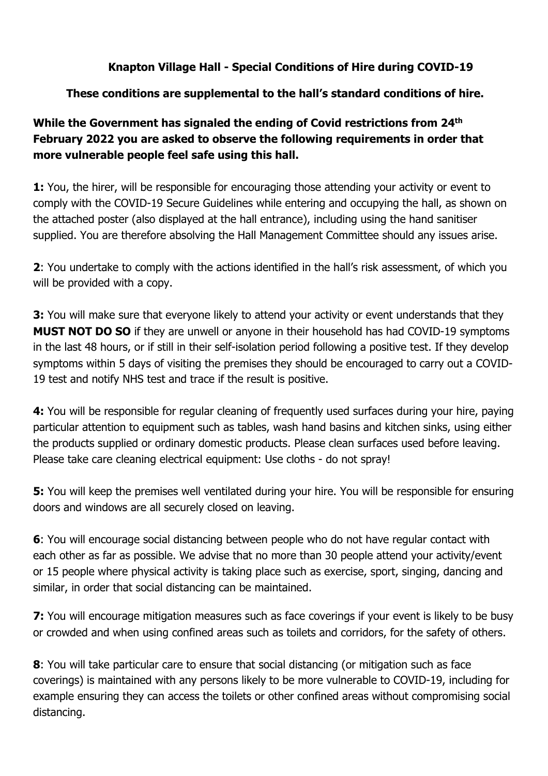## **Knapton Village Hall - Special Conditions of Hire during COVID-19**

## **These conditions are supplemental to the hall's standard conditions of hire.**

## **While the Government has signaled the ending of Covid restrictions from 24th February 2022 you are asked to observe the following requirements in order that more vulnerable people feel safe using this hall.**

**1:** You, the hirer, will be responsible for encouraging those attending your activity or event to comply with the COVID-19 Secure Guidelines while entering and occupying the hall, as shown on the attached poster (also displayed at the hall entrance), including using the hand sanitiser supplied. You are therefore absolving the Hall Management Committee should any issues arise.

**2**: You undertake to comply with the actions identified in the hall's risk assessment, of which you will be provided with a copy.

**3:** You will make sure that everyone likely to attend your activity or event understands that they **MUST NOT DO SO** if they are unwell or anyone in their household has had COVID-19 symptoms in the last 48 hours, or if still in their self-isolation period following a positive test. If they develop symptoms within 5 days of visiting the premises they should be encouraged to carry out a COVID-19 test and notify NHS test and trace if the result is positive.

**4:** You will be responsible for regular cleaning of frequently used surfaces during your hire, paying particular attention to equipment such as tables, wash hand basins and kitchen sinks, using either the products supplied or ordinary domestic products. Please clean surfaces used before leaving. Please take care cleaning electrical equipment: Use cloths - do not spray!

**5:** You will keep the premises well ventilated during your hire. You will be responsible for ensuring doors and windows are all securely closed on leaving.

**6**: You will encourage social distancing between people who do not have regular contact with each other as far as possible. We advise that no more than 30 people attend your activity/event or 15 people where physical activity is taking place such as exercise, sport, singing, dancing and similar, in order that social distancing can be maintained.

**7:** You will encourage mitigation measures such as face coverings if your event is likely to be busy or crowded and when using confined areas such as toilets and corridors, for the safety of others.

**8**: You will take particular care to ensure that social distancing (or mitigation such as face coverings) is maintained with any persons likely to be more vulnerable to COVID-19, including for example ensuring they can access the toilets or other confined areas without compromising social distancing.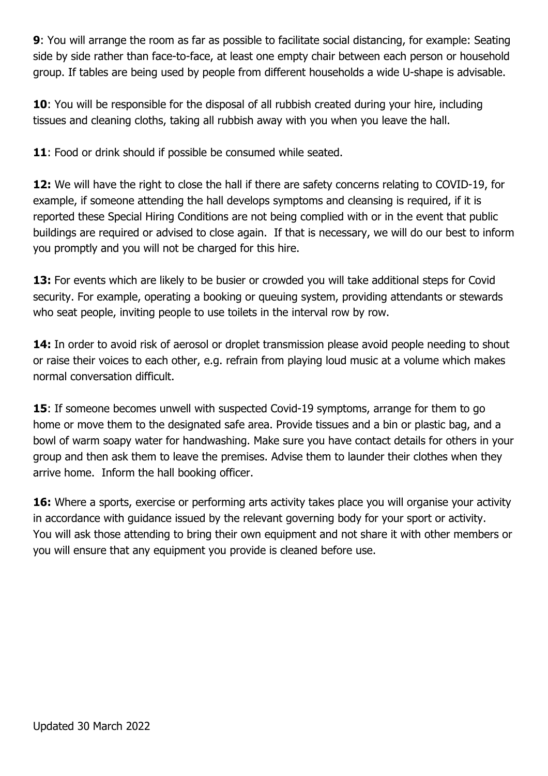**9**: You will arrange the room as far as possible to facilitate social distancing, for example: Seating side by side rather than face-to-face, at least one empty chair between each person or household group. If tables are being used by people from different households a wide U-shape is advisable.

**10**: You will be responsible for the disposal of all rubbish created during your hire, including tissues and cleaning cloths, taking all rubbish away with you when you leave the hall.

**11**: Food or drink should if possible be consumed while seated.

**12:** We will have the right to close the hall if there are safety concerns relating to COVID-19, for example, if someone attending the hall develops symptoms and cleansing is required, if it is reported these Special Hiring Conditions are not being complied with or in the event that public buildings are required or advised to close again. If that is necessary, we will do our best to inform you promptly and you will not be charged for this hire.

13: For events which are likely to be busier or crowded you will take additional steps for Covid security. For example, operating a booking or queuing system, providing attendants or stewards who seat people, inviting people to use toilets in the interval row by row.

**14:** In order to avoid risk of aerosol or droplet transmission please avoid people needing to shout or raise their voices to each other, e.g. refrain from playing loud music at a volume which makes normal conversation difficult.

**15**: If someone becomes unwell with suspected Covid-19 symptoms, arrange for them to go home or move them to the designated safe area. Provide tissues and a bin or plastic bag, and a bowl of warm soapy water for handwashing. Make sure you have contact details for others in your group and then ask them to leave the premises. Advise them to launder their clothes when they arrive home. Inform the hall booking officer.

**16:** Where a sports, exercise or performing arts activity takes place you will organise your activity in accordance with guidance issued by the relevant governing body for your sport or activity. You will ask those attending to bring their own equipment and not share it with other members or you will ensure that any equipment you provide is cleaned before use.